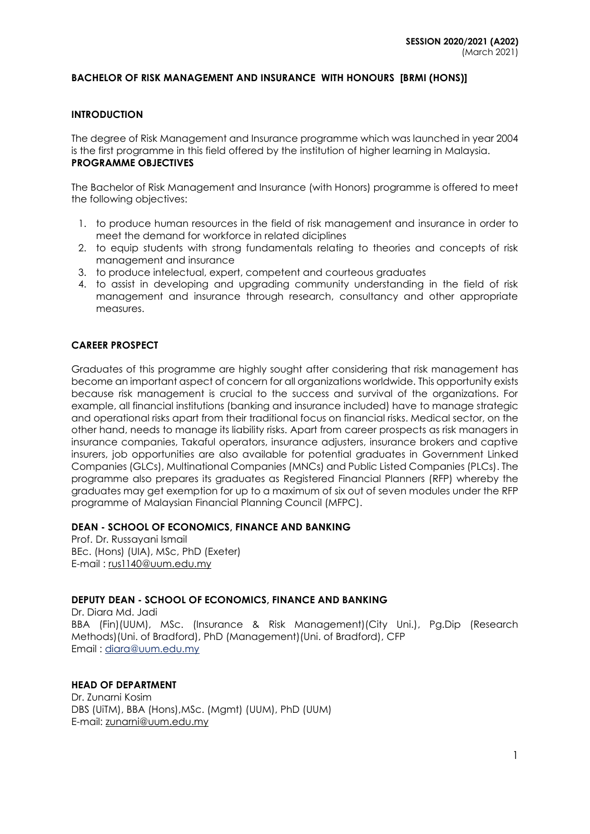#### **BACHELOR OF RISK MANAGEMENT AND INSURANCE WITH HONOURS [BRMI (HONS)]**

#### **INTRODUCTION**

The degree of Risk Management and Insurance programme which was launched in year 2004 is the first programme in this field offered by the institution of higher learning in Malaysia. **PROGRAMME OBJECTIVES**

The Bachelor of Risk Management and Insurance (with Honors) programme is offered to meet the following objectives:

- 1. to produce human resources in the field of risk management and insurance in order to meet the demand for workforce in related diciplines
- 2. to equip students with strong fundamentals relating to theories and concepts of risk management and insurance
- 3. to produce intelectual, expert, competent and courteous graduates
- 4. to assist in developing and upgrading community understanding in the field of risk management and insurance through research, consultancy and other appropriate measures.

#### **CAREER PROSPECT**

Graduates of this programme are highly sought after considering that risk management has become an important aspect of concern for all organizations worldwide. This opportunity exists because risk management is crucial to the success and survival of the organizations. For example, all financial institutions (banking and insurance included) have to manage strategic and operational risks apart from their traditional focus on financial risks. Medical sector, on the other hand, needs to manage its liability risks. Apart from career prospects as risk managers in insurance companies, Takaful operators, insurance adjusters, insurance brokers and captive insurers, job opportunities are also available for potential graduates in Government Linked Companies (GLCs), Multinational Companies (MNCs) and Public Listed Companies (PLCs). The programme also prepares its graduates as Registered Financial Planners (RFP) whereby the graduates may get exemption for up to a maximum of six out of seven modules under the RFP programme of Malaysian Financial Planning Council (MFPC).

#### **DEAN - SCHOOL OF ECONOMICS, FINANCE AND BANKING**

Prof. Dr. Russayani Ismail BEc. (Hons) (UIA), MSc, PhD (Exeter) E-mail : [rus1140@uum.edu.my](mailto:rus1140@uum.edu.my)

### **DEPUTY DEAN - SCHOOL OF ECONOMICS, FINANCE AND BANKING**

Dr. Diara Md. Jadi BBA (Fin)(UUM), MSc. (Insurance & Risk Management)(City Uni.), Pg.Dip (Research Methods)(Uni. of Bradford), PhD (Management)(Uni. of Bradford), CFP Email : [diara@uum.edu.my](mailto:diara@uum.edu.my)

#### **HEAD OF DEPARTMENT**

Dr. Zunarni Kosim DBS (UiTM), BBA (Hons),MSc. (Mgmt) (UUM), PhD (UUM) E-mail: zunarni@uum.edu.my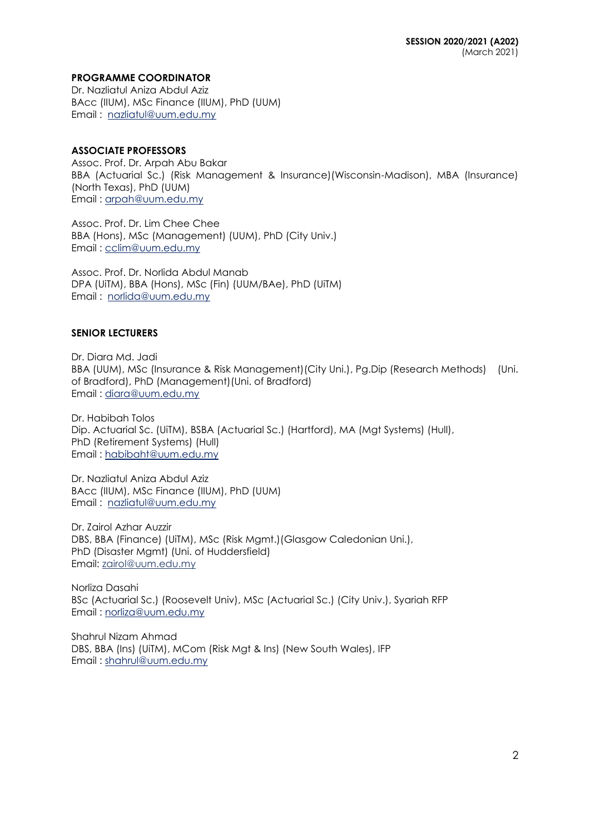### **PROGRAMME COORDINATOR**

Dr. Nazliatul Aniza Abdul Aziz BAcc (IIUM), MSc Finance (IIUM), PhD (UUM) Email : [nazliatul@uum.edu.my](mailto:nazliatul@uum.edu.my)

### **ASSOCIATE PROFESSORS**

Assoc. Prof. Dr. Arpah Abu Bakar BBA (Actuarial Sc.) (Risk Management & Insurance)(Wisconsin-Madison), MBA (Insurance) (North Texas), PhD (UUM) Email : [arpah@uum.edu.my](mailto:arpah@uum.edu.my)

Assoc. Prof. Dr. Lim Chee Chee BBA (Hons), MSc (Management) (UUM), PhD (City Univ.) Email : [cclim@uum.edu.my](mailto:cclim@uum.edu.my)

Assoc. Prof. Dr. Norlida Abdul Manab DPA (UiTM), BBA (Hons), MSc (Fin) (UUM/BAe), PhD (UiTM) Email : [norlida@uum.edu.my](mailto:norlida@uum.edu.my)

### **SENIOR LECTURERS**

Dr. Diara Md. Jadi BBA (UUM), MSc (Insurance & Risk Management)(City Uni.), Pg.Dip (Research Methods) (Uni. of Bradford), PhD (Management)(Uni. of Bradford) Email : [diara@uum.edu.my](mailto:diara@uum.edu.my)

Dr. Habibah Tolos Dip. Actuarial Sc. (UiTM), BSBA (Actuarial Sc.) (Hartford), MA (Mgt Systems) (Hull), PhD (Retirement Systems) (Hull) Email : [habibaht@uum.edu.my](mailto:habibaht@uum.edu.my)

Dr. Nazliatul Aniza Abdul Aziz BAcc (IIUM), MSc Finance (IIUM), PhD (UUM) Email : [nazliatul@uum.edu.my](mailto:nazliatul@uum.edu.my)

Dr. Zairol Azhar Auzzir DBS, BBA (Finance) (UiTM), MSc (Risk Mgmt.)(Glasgow Caledonian Uni.), PhD (Disaster Mgmt) (Uni. of Huddersfield) Email: [zairol@uum.edu.my](mailto:zairol@uum.edu.my)

Norliza Dasahi BSc (Actuarial Sc.) (Roosevelt Univ), MSc (Actuarial Sc.) (City Univ.), Syariah RFP Email : norliza@uum.edu.my

Shahrul Nizam Ahmad DBS, BBA (Ins) (UiTM), MCom (Risk Mgt & Ins) (New South Wales), IFP Email : shahrul@uum.edu.my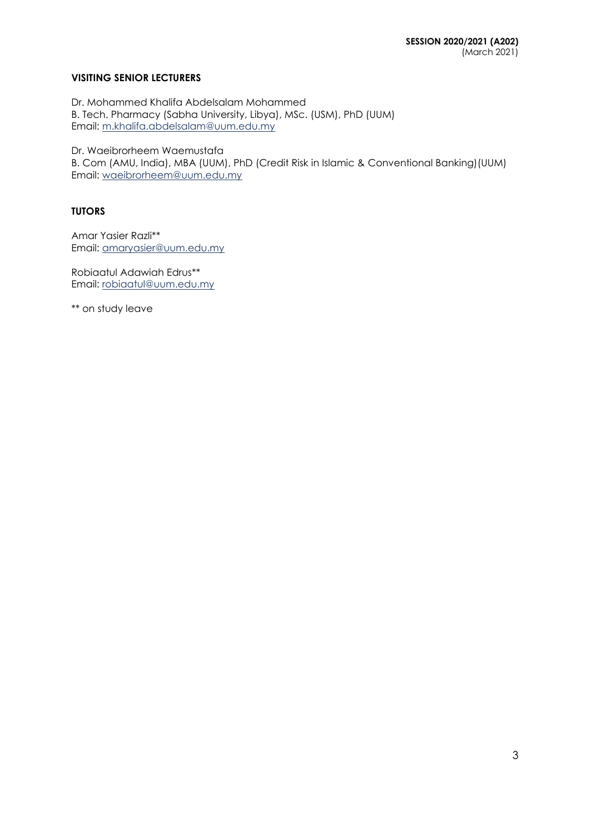### **VISITING SENIOR LECTURERS**

Dr. Mohammed Khalifa Abdelsalam Mohammed B. Tech. Pharmacy (Sabha University, Libya), MSc. (USM), PhD (UUM) Email: m.khalifa.abdelsalam@uum.edu.my

Dr. Waeibrorheem Waemustafa

B. Com (AMU, India), MBA (UUM), PhD (Credit Risk in Islamic & Conventional Banking)(UUM) Email: waeibrorheem@uum.edu.my

### **TUTORS**

Amar Yasier Razli\*\* Email: amaryasier@uum.edu.my

Robiaatul Adawiah Edrus\*\* Email: [robiaatul@uum.edu.my](mailto:robiaatul@uum.edu.my)

\*\* on study leave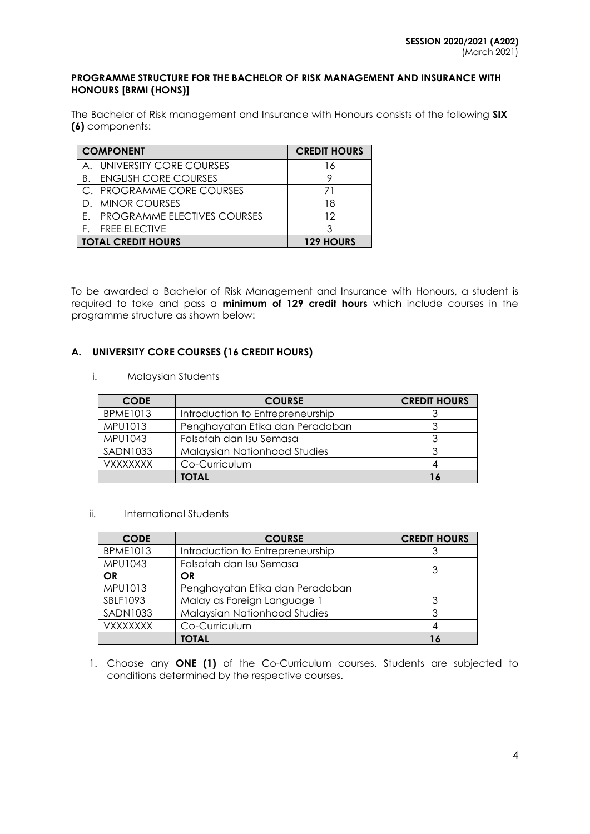#### **PROGRAMME STRUCTURE FOR THE BACHELOR OF RISK MANAGEMENT AND INSURANCE WITH HONOURS [BRMI (HONS)]**

The Bachelor of Risk management and Insurance with Honours consists of the following **SIX (6)** components:

| <b>COMPONENT</b>                   | <b>CREDIT HOURS</b> |
|------------------------------------|---------------------|
| UNIVERSITY CORE COURSES<br>A       | 16                  |
| <b>ENGLISH CORE COURSES</b><br>B.  |                     |
| C. PROGRAMME CORE COURSES          |                     |
| D. MINOR COURSES                   | 18                  |
| <b>PROGRAMME ELECTIVES COURSES</b> | 12                  |
| <b>FREE ELECTIVE</b>               |                     |
| <b>TOTAL CREDIT HOURS</b>          | <b>129 HOURS</b>    |

To be awarded a Bachelor of Risk Management and Insurance with Honours, a student is required to take and pass a **minimum of 129 credit hours** which include courses in the programme structure as shown below:

### **A. UNIVERSITY CORE COURSES (16 CREDIT HOURS)**

i. Malaysian Students

| <b>CODE</b>     | <b>COURSE</b>                    | <b>CREDIT HOURS</b> |
|-----------------|----------------------------------|---------------------|
| <b>BPME1013</b> | Introduction to Entrepreneurship |                     |
| MPU1013         | Penghayatan Etika dan Peradaban  |                     |
| MPU1043         | Falsafah dan Isu Semasa          |                     |
| <b>SADN1033</b> | Malaysian Nationhood Studies     |                     |
| <b>VXXXXXXX</b> | Co-Curriculum                    |                     |
|                 | <b>TOTAL</b>                     | 16                  |

ii. International Students

| <b>CODE</b>     | <b>COURSE</b>                       | <b>CREDIT HOURS</b> |
|-----------------|-------------------------------------|---------------------|
| <b>BPME1013</b> | Introduction to Entrepreneurship    |                     |
| MPU1043         | Falsafah dan Isu Semasa             | 3                   |
| <b>OR</b>       | <b>OR</b>                           |                     |
| MPU1013         | Penghayatan Etika dan Peradaban     |                     |
| SBLF1093        | Malay as Foreign Language 1         |                     |
| <b>SADN1033</b> | <b>Malaysian Nationhood Studies</b> |                     |
| <b>VXXXXXXX</b> | Co-Curriculum                       |                     |
|                 | TOTAL                               |                     |

1. Choose any **ONE (1)** of the Co-Curriculum courses. Students are subjected to conditions determined by the respective courses.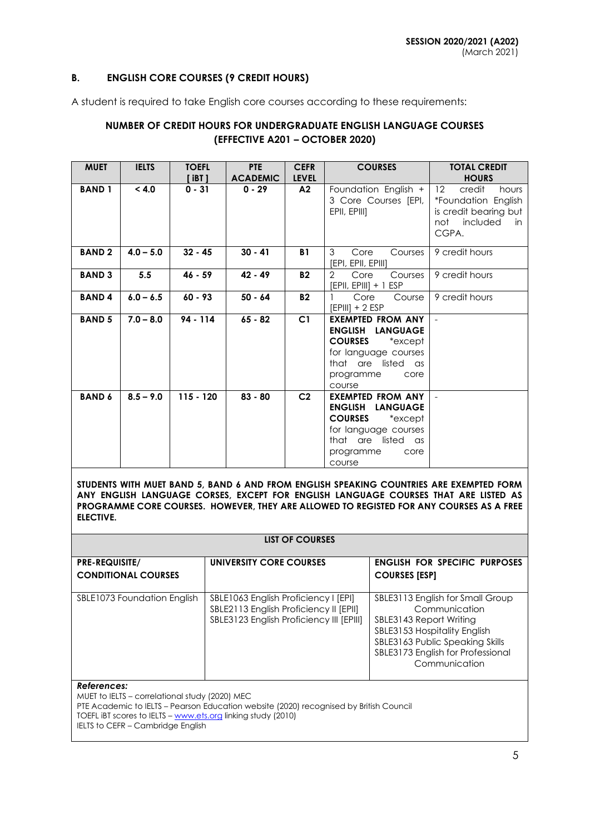### **B. ENGLISH CORE COURSES (9 CREDIT HOURS)**

A student is required to take English core courses according to these requirements:

## **NUMBER OF CREDIT HOURS FOR UNDERGRADUATE ENGLISH LANGUAGE COURSES (EFFECTIVE A201 – OCTOBER 2020)**

| <b>MUET</b>   | <b>IELTS</b> | <b>TOEFL</b><br>$[$ iBT $]$ | <b>PTE</b><br><b>ACADEMIC</b> | <b>CEFR</b><br><b>LEVEL</b> | <b>COURSES</b>                                                                                                                                                          | <b>TOTAL CREDIT</b><br><b>HOURS</b>                                                                                     |
|---------------|--------------|-----------------------------|-------------------------------|-----------------------------|-------------------------------------------------------------------------------------------------------------------------------------------------------------------------|-------------------------------------------------------------------------------------------------------------------------|
| <b>BAND1</b>  | < 4.0        | $0 - 31$                    | $0 - 29$                      | A2                          | Foundation English +<br>3 Core Courses [EPI,<br>EPII, EPIII]                                                                                                            | $12 \overline{ }$<br>credit<br>hours<br>*Foundation English<br>is credit bearing but<br>included<br>not<br>in.<br>CGPA. |
| <b>BAND2</b>  | $4.0 - 5.0$  | $32 - 45$                   | $30 - 41$                     | <b>B1</b>                   | 3<br>Core<br>Courses<br>[EPI, EPII, EPIII]                                                                                                                              | 9 credit hours                                                                                                          |
| <b>BAND 3</b> | 5.5          | $46 - 59$                   | $42 - 49$                     | <b>B2</b>                   | $\overline{2}$<br>Core<br>Courses<br>$[EPII, EPIII] + 1 ESP$                                                                                                            | 9 credit hours                                                                                                          |
| <b>BAND4</b>  | $6.0 - 6.5$  | $60 - 93$                   | $50 - 64$                     | <b>B2</b>                   | Core<br>Course<br>$[EPIII] + 2 ESP$                                                                                                                                     | 9 credit hours                                                                                                          |
| <b>BAND 5</b> | $7.0 - 8.0$  | 94 - 114                    | $65 - 82$                     | C1                          | <b>EXEMPTED FROM ANY</b><br>ENGLISH LANGUAGE<br><b>COURSES</b><br>*except<br>for language courses<br>that are listed as<br>programme<br>core<br>course                  |                                                                                                                         |
| <b>BAND 6</b> | $8.5 - 9.0$  | $115 - 120$                 | $83 - 80$                     | C <sub>2</sub>              | <b>EXEMPTED FROM ANY</b><br><b>ENGLISH</b><br><b>LANGUAGE</b><br><b>COURSES</b><br>*except<br>for language courses<br>that are listed as<br>programme<br>core<br>course |                                                                                                                         |

**STUDENTS WITH MUET BAND 5, BAND 6 AND FROM ENGLISH SPEAKING COUNTRIES ARE EXEMPTED FORM ANY ENGLISH LANGUAGE CORSES, EXCEPT FOR ENGLISH LANGUAGE COURSES THAT ARE LISTED AS PROGRAMME CORE COURSES. HOWEVER, THEY ARE ALLOWED TO REGISTED FOR ANY COURSES AS A FREE ELECTIVE.**

|                                                     | LIST OF COURSES                                                                                                            |                                                                                                                                                                                                       |
|-----------------------------------------------------|----------------------------------------------------------------------------------------------------------------------------|-------------------------------------------------------------------------------------------------------------------------------------------------------------------------------------------------------|
| <b>PRE-REQUISITE/</b><br><b>CONDITIONAL COURSES</b> | UNIVERSITY CORE COURSES                                                                                                    | <b>ENGLISH FOR SPECIFIC PURPOSES</b><br><b>COURSES [ESP]</b>                                                                                                                                          |
| SBLE1073 Foundation English                         | SBLE1063 English Proficiency I [EPI]<br>SBLE2113 English Proficiency II [EPII]<br>SBLE3123 English Proficiency III [EPIII] | SBLE3113 English for Small Group<br>Communication<br>SBLE3143 Report Writing<br>SBLE3153 Hospitality English<br>SBLE3163 Public Speaking Skills<br>SBLE3173 English for Professional<br>Communication |

#### *References:*

MUET to IELTS – correlational study (2020) MEC

PTE Academic to IELTS – Pearson Education website (2020) recognised by British Council TOEFL iBT scores to IELTS – [www.ets.org](http://www.ets.org/) linking study (2010)

IELTS to CEFR – Cambridge English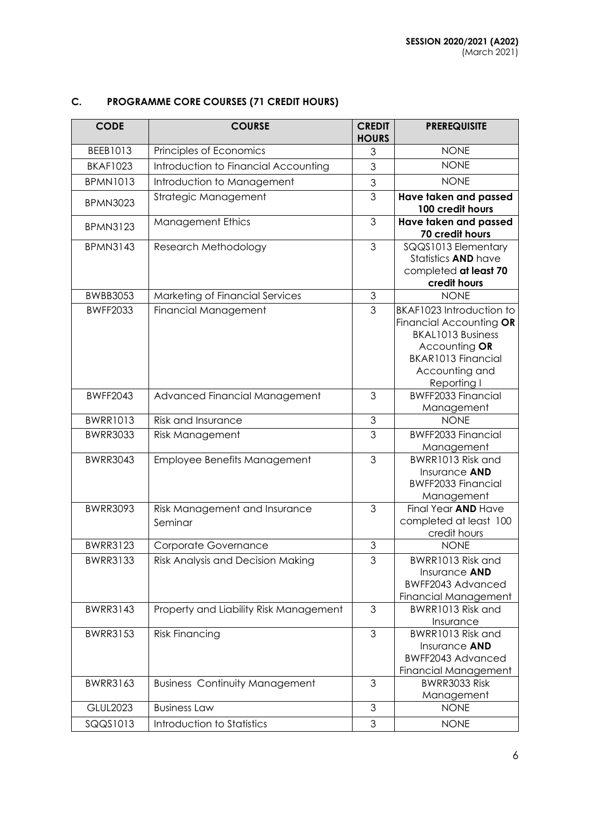# **C. PROGRAMME CORE COURSES (71 CREDIT HOURS)**

| <b>CODE</b>     | <b>COURSE</b>                            | <b>CREDIT</b><br><b>HOURS</b> | <b>PREREQUISITE</b>                                                                                                                                            |
|-----------------|------------------------------------------|-------------------------------|----------------------------------------------------------------------------------------------------------------------------------------------------------------|
| BEEB1013        | Principles of Economics                  | 3                             | <b>NONE</b>                                                                                                                                                    |
| <b>BKAF1023</b> | Introduction to Financial Accounting     | 3                             | <b>NONE</b>                                                                                                                                                    |
| <b>BPMN1013</b> | Introduction to Management               | $\mathfrak 3$                 | <b>NONE</b>                                                                                                                                                    |
| <b>BPMN3023</b> | Strategic Management                     | 3                             | Have taken and passed<br>100 credit hours                                                                                                                      |
| <b>BPMN3123</b> | <b>Management Ethics</b>                 | 3                             | Have taken and passed<br>70 credit hours                                                                                                                       |
| <b>BPMN3143</b> | Research Methodology                     | 3                             | SQQS1013 Elementary<br>Statistics AND have<br>completed at least 70<br>credit hours                                                                            |
| <b>BWBB3053</b> | Marketing of Financial Services          | 3                             | <b>NONE</b>                                                                                                                                                    |
| <b>BWFF2033</b> | <b>Financial Management</b>              | 3                             | BKAF1023 Introduction to<br>Financial Accounting OR<br><b>BKAL1013 Business</b><br>Accounting OR<br><b>BKAR1013 Financial</b><br>Accounting and<br>Reporting I |
| <b>BWFF2043</b> | Advanced Financial Management            | 3                             | <b>BWFF2033 Financial</b><br>Management                                                                                                                        |
| <b>BWRR1013</b> | Risk and Insurance                       | 3                             | <b>NONE</b>                                                                                                                                                    |
| <b>BWRR3033</b> | <b>Risk Management</b>                   | 3                             | <b>BWFF2033 Financial</b><br>Management                                                                                                                        |
| <b>BWRR3043</b> | Employee Benefits Management             | 3                             | BWRR1013 Risk and<br>Insurance AND<br><b>BWFF2033 Financial</b><br>Management                                                                                  |
| <b>BWRR3093</b> | Risk Management and Insurance<br>Seminar | 3                             | Final Year AND Have<br>completed at least 100<br>credit hours                                                                                                  |
| <b>BWRR3123</b> | Corporate Governance                     | 3                             | <b>NONE</b>                                                                                                                                                    |
| <b>BWRR3133</b> | Risk Analysis and Decision Making        | $\overline{3}$                | BWRR1013 Risk and<br>Insurance <b>AND</b><br>BWFF2043 Advanced<br><b>Financial Management</b>                                                                  |
| <b>BWRR3143</b> | Property and Liability Risk Management   | 3                             | BWRR1013 Risk and<br>Insurance                                                                                                                                 |
| <b>BWRR3153</b> | <b>Risk Financing</b>                    | 3                             | BWRR1013 Risk and<br>Insurance AND<br><b>BWFF2043 Advanced</b><br><b>Financial Management</b>                                                                  |
| <b>BWRR3163</b> | <b>Business Continuity Management</b>    | 3                             | BWRR3033 Risk<br>Management                                                                                                                                    |
| <b>GLUL2023</b> | <b>Business Law</b>                      | 3                             | <b>NONE</b>                                                                                                                                                    |
| SQQS1013        | Introduction to Statistics               | 3                             | <b>NONE</b>                                                                                                                                                    |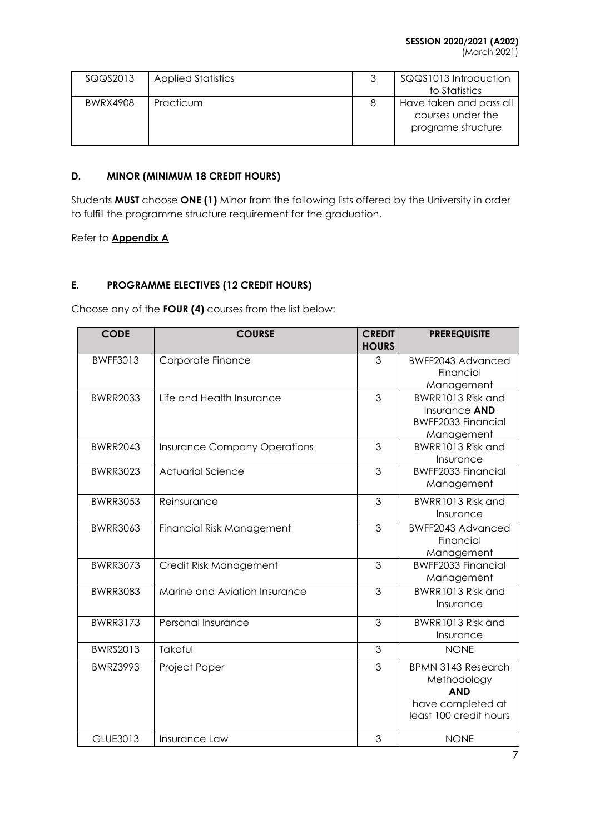(March 2021)

| SQQS2013 | <b>Applied Statistics</b> | SQQS1013 Introduction<br>to Statistics                             |
|----------|---------------------------|--------------------------------------------------------------------|
| BWRX4908 | Practicum                 | Have taken and pass all<br>courses under the<br>programe structure |

## **D. MINOR (MINIMUM 18 CREDIT HOURS)**

Students **MUST** choose **ONE (1)** Minor from the following lists offered by the University in order to fulfill the programme structure requirement for the graduation.

Refer to **Appendix A**

## **E. PROGRAMME ELECTIVES (12 CREDIT HOURS)**

Choose any of the **FOUR (4)** courses from the list below:

| <b>CODE</b>     | <b>COURSE</b>                       | <b>CREDIT</b><br><b>HOURS</b> | <b>PREREQUISITE</b>                                                                                   |
|-----------------|-------------------------------------|-------------------------------|-------------------------------------------------------------------------------------------------------|
| <b>BWFF3013</b> | Corporate Finance                   | 3                             | BWFF2043 Advanced<br>Financial<br>Management                                                          |
| <b>BWRR2033</b> | Life and Health Insurance           | 3                             | BWRR1013 Risk and<br>Insurance <b>AND</b><br><b>BWFF2033 Financial</b><br>Management                  |
| <b>BWRR2043</b> | <b>Insurance Company Operations</b> | 3                             | BWRR1013 Risk and<br>Insurance                                                                        |
| <b>BWRR3023</b> | <b>Actuarial Science</b>            | 3                             | <b>BWFF2033 Financial</b><br>Management                                                               |
| <b>BWRR3053</b> | Reinsurance                         | 3                             | BWRR1013 Risk and<br>Insurance                                                                        |
| <b>BWRR3063</b> | Financial Risk Management           | 3                             | BWFF2043 Advanced<br>Financial<br>Management                                                          |
| <b>BWRR3073</b> | Credit Risk Management              | 3                             | <b>BWFF2033 Financial</b><br>Management                                                               |
| <b>BWRR3083</b> | Marine and Aviation Insurance       | 3                             | BWRR1013 Risk and<br>Insurance                                                                        |
| <b>BWRR3173</b> | Personal Insurance                  | 3                             | BWRR1013 Risk and<br>Insurance                                                                        |
| <b>BWRS2013</b> | Takaful                             | 3                             | <b>NONE</b>                                                                                           |
| <b>BWRZ3993</b> | Project Paper                       | $\overline{3}$                | <b>BPMN 3143 Research</b><br>Methodology<br><b>AND</b><br>have completed at<br>least 100 credit hours |
| GLUE3013        | Insurance Law                       | 3                             | <b>NONE</b>                                                                                           |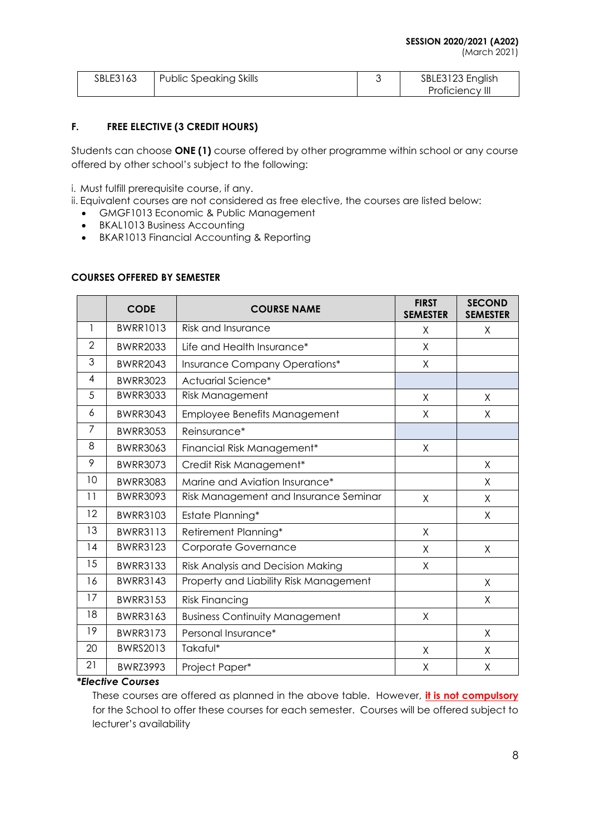(March 2021)

| SBLE3163 | Public Speaking Skills | SBLE3123 English |
|----------|------------------------|------------------|
|          |                        | Proficiency III  |

## **F. FREE ELECTIVE (3 CREDIT HOURS)**

Students can choose **ONE (1)** course offered by other programme within school or any course offered by other school's subject to the following:

i. Must fulfill prerequisite course, if any.

- ii. Equivalent courses are not considered as free elective, the courses are listed below:
	- GMGF1013 Economic & Public Management
	- BKAL1013 Business Accounting
	- BKAR1013 Financial Accounting & Reporting

### **COURSES OFFERED BY SEMESTER**

|                | <b>CODE</b>     | <b>COURSE NAME</b>                     | <b>FIRST</b><br><b>SEMESTER</b> | <b>SECOND</b><br><b>SEMESTER</b> |
|----------------|-----------------|----------------------------------------|---------------------------------|----------------------------------|
| 1              | <b>BWRR1013</b> | Risk and Insurance                     | X                               | X                                |
| $\overline{2}$ | <b>BWRR2033</b> | Life and Health Insurance*             | X                               |                                  |
| 3              | <b>BWRR2043</b> | Insurance Company Operations*          | X                               |                                  |
| 4              | <b>BWRR3023</b> | Actuarial Science*                     |                                 |                                  |
| 5              | <b>BWRR3033</b> | <b>Risk Management</b>                 | X                               | X                                |
| 6              | <b>BWRR3043</b> | Employee Benefits Management           | X                               | X                                |
| 7              | <b>BWRR3053</b> | Reinsurance*                           |                                 |                                  |
| 8              | <b>BWRR3063</b> | Financial Risk Management*             | X                               |                                  |
| 9              | <b>BWRR3073</b> | Credit Risk Management*                |                                 | X                                |
| 10             | <b>BWRR3083</b> | Marine and Aviation Insurance*         |                                 | X                                |
| 11             | <b>BWRR3093</b> | Risk Management and Insurance Seminar  | $\sf X$                         | X                                |
| 12             | <b>BWRR3103</b> | Estate Planning*                       |                                 | X                                |
| 13             | <b>BWRR3113</b> | Retirement Planning*                   | X                               |                                  |
| 14             | <b>BWRR3123</b> | Corporate Governance                   | X                               | X                                |
| 15             | <b>BWRR3133</b> | Risk Analysis and Decision Making      | X                               |                                  |
| 16             | <b>BWRR3143</b> | Property and Liability Risk Management |                                 | X                                |
| 17             | <b>BWRR3153</b> | <b>Risk Financing</b>                  |                                 | X                                |
| 18             | <b>BWRR3163</b> | <b>Business Continuity Management</b>  | X                               |                                  |
| 19             | <b>BWRR3173</b> | Personal Insurance*                    |                                 | Χ                                |
| 20             | <b>BWRS2013</b> | Takaful*                               | X                               | X                                |
| 21             | <b>BWRZ3993</b> | Project Paper*                         | X                               | Χ                                |

### *\*Elective Courses*

These courses are offered as planned in the above table. However, **it is not compulsory** for the School to offer these courses for each semester. Courses will be offered subject to lecturer's availability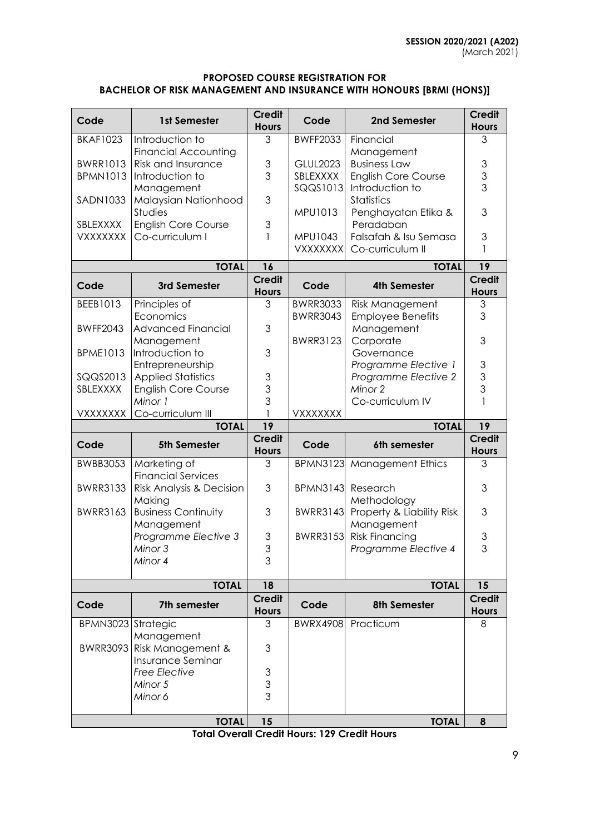### **PROPOSED COURSE REGISTRATION FOR BACHELOR OF RISK MANAGEMENT AND INSURANCE WITH HONOURS [BRMI (HONS)]**

| Code               | 1st Semester                           | <b>Credit</b><br><b>Hours</b> | Code                 | 2nd Semester                                  | <b>Credit</b><br><b>Hours</b> |
|--------------------|----------------------------------------|-------------------------------|----------------------|-----------------------------------------------|-------------------------------|
| <b>BKAF1023</b>    | Introduction to                        | 3                             | <b>BWFF2033</b>      | Financial                                     | 3                             |
|                    | <b>Financial Accounting</b>            |                               |                      | Management                                    |                               |
| <b>BWRR1013</b>    | <b>Risk and Insurance</b>              | 3                             | <b>GLUL2023</b>      | <b>Business Law</b>                           | $\ensuremath{\mathsf{3}}$     |
| <b>BPMN1013</b>    | Introduction to<br>Management          | 3                             | SBLEXXXX<br>SQQS1013 | <b>English Core Course</b><br>Introduction to | $\frac{3}{3}$                 |
| <b>SADN1033</b>    | Malaysian Nationhood                   | 3                             |                      | Statistics                                    |                               |
|                    | Studies                                |                               | <b>MPU1013</b>       | Penghayatan Etika &                           | 3                             |
| SBLEXXXX           | <b>English Core Course</b>             | 3                             |                      | Peradaban                                     |                               |
| <b>VXXXXXXX</b>    | Co-curriculum I                        | 1                             | MPU1043              | Falsafah & Isu Semasa                         | 3                             |
|                    |                                        |                               | <b>VXXXXXXX</b>      | Co-curriculum II                              | 1                             |
|                    | <b>TOTAL</b>                           | 16                            |                      | <b>TOTAL</b>                                  | 19                            |
| Code               | 3rd Semester                           | <b>Credit</b>                 | Code                 | <b>4th Semester</b>                           | <b>Credit</b>                 |
|                    |                                        | <b>Hours</b>                  |                      |                                               | <b>Hours</b>                  |
| BEEB1013           | Principles of                          | 3                             | <b>BWRR3033</b>      | Risk Management                               | 3                             |
| <b>BWFF2043</b>    | Economics<br><b>Advanced Financial</b> | 3                             | <b>BWRR3043</b>      | <b>Employee Benefits</b><br>Management        | 3                             |
|                    | Management                             |                               | <b>BWRR3123</b>      | Corporate                                     | 3                             |
| <b>BPME1013</b>    | Introduction to                        | 3                             |                      | Governance                                    |                               |
|                    | Entrepreneurship                       |                               |                      | Programme Elective 1                          | 3                             |
| SQQS2013           | <b>Applied Statistics</b>              | 3                             |                      | Programme Elective 2                          | 3                             |
| SBLEXXXX           | <b>English Core Course</b>             | 3                             |                      | Minor 2                                       | 3                             |
|                    | Minor 1                                | 3                             |                      | Co-curriculum IV                              | $\mathbf{1}$                  |
|                    |                                        |                               |                      |                                               |                               |
| <b>VXXXXXXX</b>    | Co-curriculum III                      |                               | VXXXXXXX             |                                               |                               |
|                    | <b>TOTAL</b>                           | 19                            |                      | <b>TOTAL</b>                                  | 19                            |
| Code               | 5th Semester                           | <b>Credit</b><br><b>Hours</b> | Code                 | 6th semester                                  | <b>Credit</b><br><b>Hours</b> |
| <b>BWBB3053</b>    | Marketing of                           | 3                             | <b>BPMN3123</b>      | <b>Management Ethics</b>                      | 3                             |
|                    | <b>Financial Services</b>              |                               |                      |                                               |                               |
| <b>BWRR3133</b>    | Risk Analysis & Decision               | 3                             | <b>BPMN3143</b>      | Research                                      | 3                             |
|                    | Making                                 |                               |                      | Methodology                                   |                               |
| <b>BWRR3163</b>    | <b>Business Continuity</b>             | 3                             | <b>BWRR3143</b>      | Property & Liability Risk                     | 3                             |
|                    | Management<br>Programme Elective 3     | 3                             | <b>BWRR3153</b>      | Management<br><b>Risk Financing</b>           | 3                             |
|                    | Minor 3                                | Ç<br>◡                        |                      | Programme Elective 4                          | 3                             |
|                    | Minor 4                                | 3                             |                      |                                               |                               |
|                    | <b>TOTAL</b>                           | 18                            |                      | <b>TOTAL</b>                                  | 15                            |
| Code               | 7th semester                           | <b>Credit</b>                 | Code                 | 8th Semester                                  | <b>Credit</b>                 |
|                    |                                        | <b>Hours</b><br>3             |                      |                                               | <b>Hours</b><br>8             |
| BPMN3023 Strategic | Management                             |                               | <b>BWRX4908</b>      | Practicum                                     |                               |
|                    | BWRR3093 Risk Management &             | 3                             |                      |                                               |                               |
|                    | Insurance Seminar                      |                               |                      |                                               |                               |
|                    | <b>Free Elective</b>                   | 3                             |                      |                                               |                               |
|                    | Minor 5                                | 3                             |                      |                                               |                               |
|                    | Minor 6                                | 3                             |                      |                                               |                               |

**Total Overall Credit Hours: 129 Credit Hours**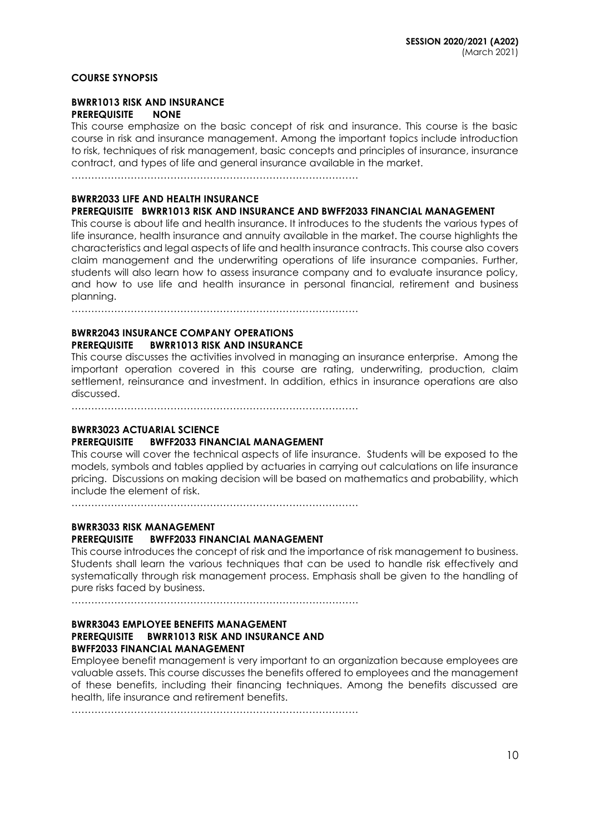#### **COURSE SYNOPSIS**

#### **BWRR1013 RISK AND INSURANCE PREREQUISITE NONE**

This course emphasize on the basic concept of risk and insurance. This course is the basic course in risk and insurance management. Among the important topics include introduction to risk, techniques of risk management, basic concepts and principles of insurance, insurance contract, and types of life and general insurance available in the market.

……………………………………………………………………………

#### **BWRR2033 LIFE AND HEALTH INSURANCE**

#### **PREREQUISITE BWRR1013 RISK AND INSURANCE AND BWFF2033 FINANCIAL MANAGEMENT**

This course is about life and health insurance. It introduces to the students the various types of life insurance, health insurance and annuity available in the market. The course highlights the characteristics and legal aspects of life and health insurance contracts. This course also covers claim management and the underwriting operations of life insurance companies. Further, students will also learn how to assess insurance company and to evaluate insurance policy, and how to use life and health insurance in personal financial, retirement and business planning.

……………………………………………………………………………

### **BWRR2043 INSURANCE COMPANY OPERATIONS PREREQUISITE BWRR1013 RISK AND INSURANCE**

This course discusses the activities involved in managing an insurance enterprise. Among the important operation covered in this course are rating, underwriting, production, claim settlement, reinsurance and investment. In addition, ethics in insurance operations are also discussed.

……………………………………………………………………………

### **BWRR3023 ACTUARIAL SCIENCE**

#### **PREREQUISITE BWFF2033 FINANCIAL MANAGEMENT**

This course will cover the technical aspects of life insurance. Students will be exposed to the models, symbols and tables applied by actuaries in carrying out calculations on life insurance pricing. Discussions on making decision will be based on mathematics and probability, which include the element of risk.

……………………………………………………………………………

## **BWRR3033 RISK MANAGEMENT PREREQUISITE BWFF2033 FINANCIAL MANAGEMENT**

This course introduces the concept of risk and the importance of risk management to business. Students shall learn the various techniques that can be used to handle risk effectively and systematically through risk management process. Emphasis shall be given to the handling of pure risks faced by business.

……………………………………………………………………………

#### **BWRR3043 EMPLOYEE BENEFITS MANAGEMENT PREREQUISITE BWRR1013 RISK AND INSURANCE AND BWFF2033 FINANCIAL MANAGEMENT**

Employee benefit management is very important to an organization because employees are valuable assets. This course discusses the benefits offered to employees and the management of these benefits, including their financing techniques. Among the benefits discussed are health, life insurance and retirement benefits.

……………………………………………………………………………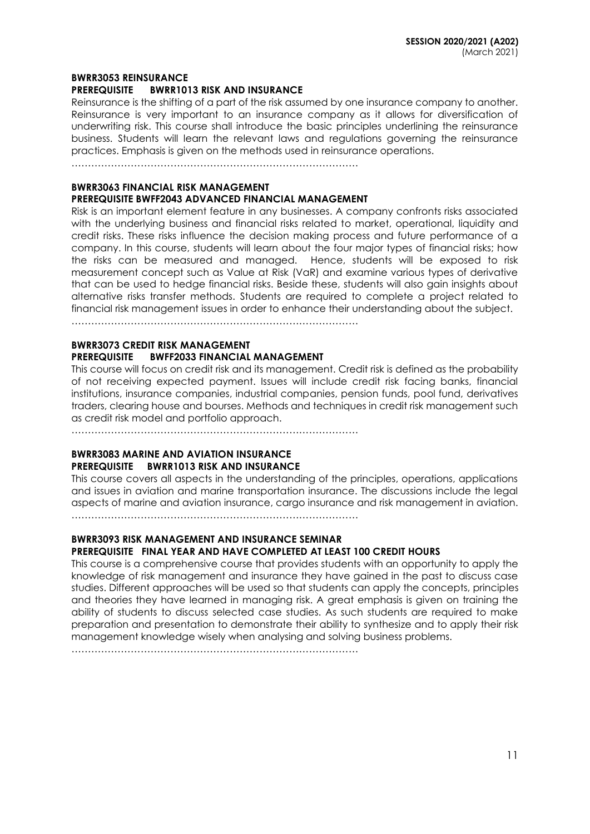#### **BWRR3053 REINSURANCE**

#### **PREREQUISITE BWRR1013 RISK AND INSURANCE**

Reinsurance is the shifting of a part of the risk assumed by one insurance company to another. Reinsurance is very important to an insurance company as it allows for diversification of underwriting risk. This course shall introduce the basic principles underlining the reinsurance business. Students will learn the relevant laws and regulations governing the reinsurance practices. Emphasis is given on the methods used in reinsurance operations.

……………………………………………………………………………

### **BWRR3063 FINANCIAL RISK MANAGEMENT PREREQUISITE BWFF2043 ADVANCED FINANCIAL MANAGEMENT**

Risk is an important element feature in any businesses. A company confronts risks associated with the underlying business and financial risks related to market, operational, liquidity and credit risks. These risks influence the decision making process and future performance of a company. In this course, students will learn about the four major types of financial risks; how the risks can be measured and managed. Hence, students will be exposed to risk measurement concept such as Value at Risk (VaR) and examine various types of derivative that can be used to hedge financial risks. Beside these, students will also gain insights about alternative risks transfer methods. Students are required to complete a project related to financial risk management issues in order to enhance their understanding about the subject.

……………………………………………………………………………

#### **BWRR3073 CREDIT RISK MANAGEMENT PREREQUISITE BWFF2033 FINANCIAL MANAGEMENT**

This course will focus on credit risk and its management. Credit risk is defined as the probability of not receiving expected payment. Issues will include credit risk facing banks, financial institutions, insurance companies, industrial companies, pension funds, pool fund, derivatives traders, clearing house and bourses. Methods and techniques in credit risk management such as credit risk model and portfolio approach.

……………………………………………………………………………

### **BWRR3083 MARINE AND AVIATION INSURANCE PREREQUISITE BWRR1013 RISK AND INSURANCE**

This course covers all aspects in the understanding of the principles, operations, applications and issues in aviation and marine transportation insurance. The discussions include the legal aspects of marine and aviation insurance, cargo insurance and risk management in aviation. ……………………………………………………………………………

#### **BWRR3093 RISK MANAGEMENT AND INSURANCE SEMINAR PREREQUISITE FINAL YEAR AND HAVE COMPLETED AT LEAST 100 CREDIT HOURS**

This course is a comprehensive course that provides students with an opportunity to apply the knowledge of risk management and insurance they have gained in the past to discuss case studies. Different approaches will be used so that students can apply the concepts, principles and theories they have learned in managing risk. A great emphasis is given on training the ability of students to discuss selected case studies. As such students are required to make preparation and presentation to demonstrate their ability to synthesize and to apply their risk management knowledge wisely when analysing and solving business problems.

……………………………………………………………………………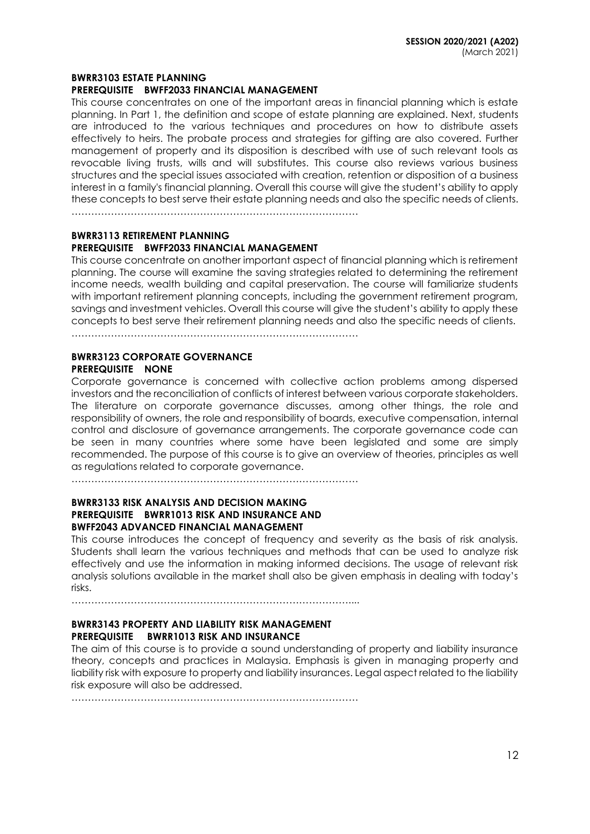#### **BWRR3103 ESTATE PLANNING**

#### **PREREQUISITE BWFF2033 FINANCIAL MANAGEMENT**

This course concentrates on one of the important areas in financial planning which is estate planning. In Part 1, the definition and scope of estate planning are explained. Next, students are introduced to the various techniques and procedures on how to distribute assets effectively to heirs. The probate process and strategies for gifting are also covered. Further management of property and its disposition is described with use of such relevant tools as revocable living trusts, wills and will substitutes. This course also reviews various business structures and the special issues associated with creation, retention or disposition of a business interest in a family's financial planning. Overall this course will give the student's ability to apply these concepts to best serve their estate planning needs and also the specific needs of clients.

……………………………………………………………………………

#### **BWRR3113 RETIREMENT PLANNING**

#### **PREREQUISITE BWFF2033 FINANCIAL MANAGEMENT**

This course concentrate on another important aspect of financial planning which is retirement planning. The course will examine the saving strategies related to determining the retirement income needs, wealth building and capital preservation. The course will familiarize students with important retirement planning concepts, including the government retirement program, savings and investment vehicles. Overall this course will give the student's ability to apply these concepts to best serve their retirement planning needs and also the specific needs of clients.

……………………………………………………………………………

### **BWRR3123 CORPORATE GOVERNANCE PREREQUISITE NONE**

Corporate governance is concerned with collective action problems among dispersed investors and the reconciliation of conflicts of interest between various corporate stakeholders. The literature on corporate governance discusses, among other things, the role and responsibility of owners, the role and responsibility of boards, executive compensation, internal control and disclosure of governance arrangements. The corporate governance code can be seen in many countries where some have been legislated and some are simply recommended. The purpose of this course is to give an overview of theories, principles as well as regulations related to corporate governance.

 $\mathcal{L}^{(n)}$ 

#### **BWRR3133 RISK ANALYSIS AND DECISION MAKING PREREQUISITE BWRR1013 RISK AND INSURANCE AND BWFF2043 ADVANCED FINANCIAL MANAGEMENT**

This course introduces the concept of frequency and severity as the basis of risk analysis. Students shall learn the various techniques and methods that can be used to analyze risk effectively and use the information in making informed decisions. The usage of relevant risk analysis solutions available in the market shall also be given emphasis in dealing with today's risks.

…………………………………………………………………………....

### **BWRR3143 PROPERTY AND LIABILITY RISK MANAGEMENT PREREQUISITE BWRR1013 RISK AND INSURANCE**

The aim of this course is to provide a sound understanding of property and liability insurance theory, concepts and practices in Malaysia. Emphasis is given in managing property and liability risk with exposure to property and liability insurances. Legal aspect related to the liability risk exposure will also be addressed.

……………………………………………………………………………